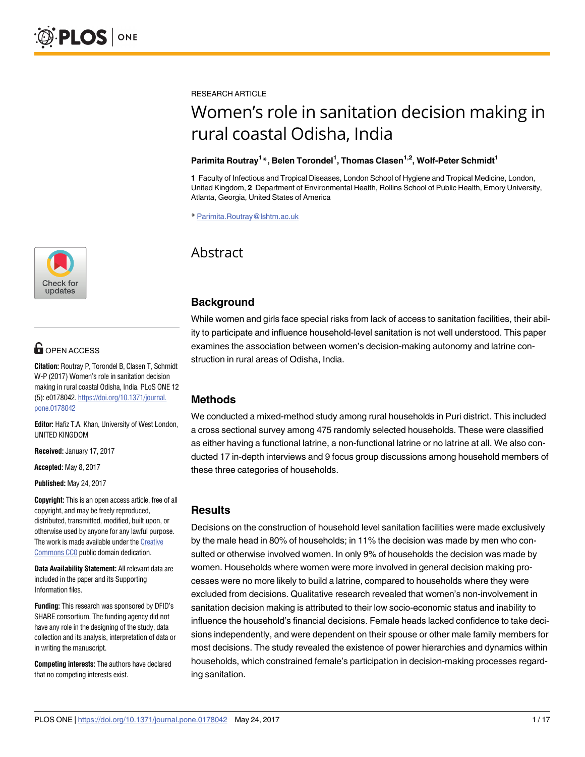

# **OPEN ACCESS**

**Citation:** Routray P, Torondel B, Clasen T, Schmidt W-P (2017) Women's role in sanitation decision making in rural coastal Odisha, India. PLoS ONE 12 (5): e0178042. [https://doi.org/10.1371/journal.](https://doi.org/10.1371/journal.pone.0178042) [pone.0178042](https://doi.org/10.1371/journal.pone.0178042)

**Editor:** Hafiz T.A. Khan, University of West London, UNITED KINGDOM

**Received:** January 17, 2017

**Accepted:** May 8, 2017

**Published:** May 24, 2017

**Copyright:** This is an open access article, free of all copyright, and may be freely reproduced, distributed, transmitted, modified, built upon, or otherwise used by anyone for any lawful purpose. The work is made available under the [Creative](https://creativecommons.org/publicdomain/zero/1.0/) [Commons](https://creativecommons.org/publicdomain/zero/1.0/) CC0 public domain dedication.

**Data Availability Statement:** All relevant data are included in the paper and its Supporting Information files.

**Funding:** This research was sponsored by DFID's SHARE consortium. The funding agency did not have any role in the designing of the study, data collection and its analysis, interpretation of data or in writing the manuscript.

**Competing interests:** The authors have declared that no competing interests exist.

RESEARCH ARTICLE

# Women's role in sanitation decision making in rural coastal Odisha, India

## **Parimita Routray1 \*, Belen Torondel1 , Thomas Clasen1,2, Wolf-Peter Schmidt1**

**1** Faculty of Infectious and Tropical Diseases, London School of Hygiene and Tropical Medicine, London, United Kingdom, **2** Department of Environmental Health, Rollins School of Public Health, Emory University, Atlanta, Georgia, United States of America

\* Parimita.Routray@lshtm.ac.uk

## Abstract

## **Background**

While women and girls face special risks from lack of access to sanitation facilities, their ability to participate and influence household-level sanitation is not well understood. This paper examines the association between women's decision-making autonomy and latrine construction in rural areas of Odisha, India.

## **Methods**

We conducted a mixed-method study among rural households in Puri district. This included a cross sectional survey among 475 randomly selected households. These were classified as either having a functional latrine, a non-functional latrine or no latrine at all. We also conducted 17 in-depth interviews and 9 focus group discussions among household members of these three categories of households.

## **Results**

Decisions on the construction of household level sanitation facilities were made exclusively by the male head in 80% of households; in 11% the decision was made by men who consulted or otherwise involved women. In only 9% of households the decision was made by women. Households where women were more involved in general decision making processes were no more likely to build a latrine, compared to households where they were excluded from decisions. Qualitative research revealed that women's non-involvement in sanitation decision making is attributed to their low socio-economic status and inability to influence the household's financial decisions. Female heads lacked confidence to take decisions independently, and were dependent on their spouse or other male family members for most decisions. The study revealed the existence of power hierarchies and dynamics within households, which constrained female's participation in decision-making processes regarding sanitation.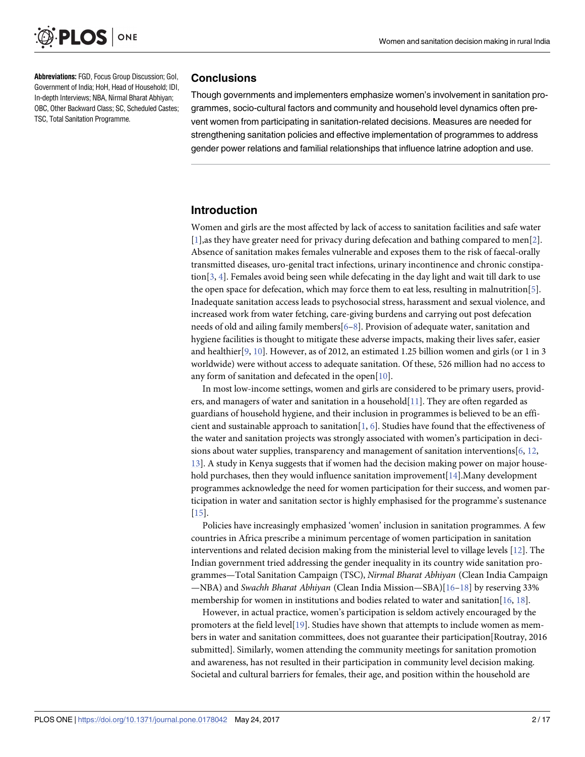<span id="page-1-0"></span>

**Abbreviations:** FGD, Focus Group Discussion; GoI, Government of India; HoH, Head of Household; IDI, In-depth Interviews; NBA, Nirmal Bharat Abhiyan; OBC, Other Backward Class; SC, Scheduled Castes; TSC, Total Sanitation Programme.

#### **Conclusions**

Though governments and implementers emphasize women's involvement in sanitation programmes, socio-cultural factors and community and household level dynamics often prevent women from participating in sanitation-related decisions. Measures are needed for strengthening sanitation policies and effective implementation of programmes to address gender power relations and familial relationships that influence latrine adoption and use.

## **Introduction**

Women and girls are the most affected by lack of access to sanitation facilities and safe water [\[1](#page-14-0)],as they have greater need for privacy during defecation and bathing compared to men[\[2](#page-14-0)]. Absence of sanitation makes females vulnerable and exposes them to the risk of faecal-orally transmitted diseases, uro-genital tract infections, urinary incontinence and chronic constipation[[3](#page-14-0), [4\]](#page-14-0). Females avoid being seen while defecating in the day light and wait till dark to use the open space for defecation, which may force them to eat less, resulting in malnutrition[\[5\]](#page-15-0). Inadequate sanitation access leads to psychosocial stress, harassment and sexual violence, and increased work from water fetching, care-giving burdens and carrying out post defecation needs of old and ailing family members[[6–8\]](#page-15-0). Provision of adequate water, sanitation and hygiene facilities is thought to mitigate these adverse impacts, making their lives safer, easier and healthier[[9,](#page-15-0) [10\]](#page-15-0). However, as of 2012, an estimated 1.25 billion women and girls (or 1 in 3 worldwide) were without access to adequate sanitation. Of these, 526 million had no access to any form of sanitation and defecated in the open[\[10\]](#page-15-0).

In most low-income settings, women and girls are considered to be primary users, provid-ers, and managers of water and sanitation in a household [[11\]](#page-15-0). They are often regarded as guardians of household hygiene, and their inclusion in programmes is believed to be an efficient and sustainable approach to sanitation $[1, 6]$  $[1, 6]$  $[1, 6]$  $[1, 6]$ . Studies have found that the effectiveness of the water and sanitation projects was strongly associated with women's participation in decisions about water supplies, transparency and management of sanitation interventions  $[6, 12, 12]$  $[6, 12, 12]$  $[6, 12, 12]$  $[6, 12, 12]$  $[6, 12, 12]$ [13\]](#page-15-0). A study in Kenya suggests that if women had the decision making power on major household purchases, then they would influence sanitation improvement[[14](#page-15-0)].Many development programmes acknowledge the need for women participation for their success, and women participation in water and sanitation sector is highly emphasised for the programme's sustenance [\[15\]](#page-15-0).

Policies have increasingly emphasized 'women' inclusion in sanitation programmes. A few countries in Africa prescribe a minimum percentage of women participation in sanitation interventions and related decision making from the ministerial level to village levels [\[12\]](#page-15-0). The Indian government tried addressing the gender inequality in its country wide sanitation programmes—Total Sanitation Campaign (TSC), *Nirmal Bharat Abhiyan* (Clean India Campaign —NBA) and *Swachh Bharat Abhiyan* (Clean India Mission—SBA)[[16–18\]](#page-15-0) by reserving 33% membership for women in institutions and bodies related to water and sanitation $[16, 18]$  $[16, 18]$  $[16, 18]$ .

However, in actual practice, women's participation is seldom actively encouraged by the promoters at the field level[\[19\]](#page-15-0). Studies have shown that attempts to include women as members in water and sanitation committees, does not guarantee their participation[Routray, 2016 submitted]. Similarly, women attending the community meetings for sanitation promotion and awareness, has not resulted in their participation in community level decision making. Societal and cultural barriers for females, their age, and position within the household are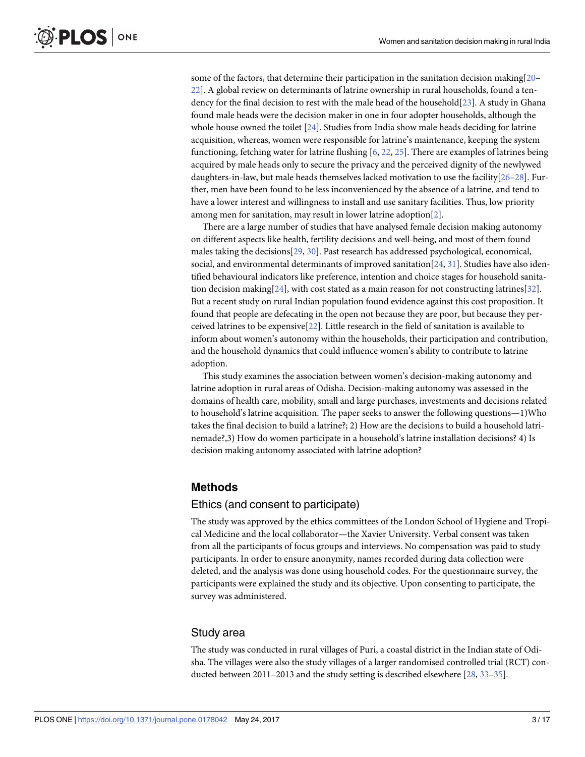<span id="page-2-0"></span>some of the factors, that determine their participation in the sanitation decision making[\[20–](#page-15-0) [22\]](#page-15-0). A global review on determinants of latrine ownership in rural households, found a tendency for the final decision to rest with the male head of the household[\[23\]](#page-15-0). A study in Ghana found male heads were the decision maker in one in four adopter households, although the whole house owned the toilet [[24](#page-15-0)]. Studies from India show male heads deciding for latrine acquisition, whereas, women were responsible for latrine's maintenance, keeping the system functioning, fetching water for latrine flushing [\[6,](#page-15-0) [22,](#page-15-0) [25\]](#page-15-0). There are examples of latrines being acquired by male heads only to secure the privacy and the perceived dignity of the newlywed daughters-in-law, but male heads themselves lacked motivation to use the facility[[26–28\]](#page-15-0). Further, men have been found to be less inconvenienced by the absence of a latrine, and tend to have a lower interest and willingness to install and use sanitary facilities. Thus, low priority among men for sanitation, may result in lower latrine adoption[\[2\]](#page-14-0).

There are a large number of studies that have analysed female decision making autonomy on different aspects like health, fertility decisions and well-being, and most of them found males taking the decisions[\[29,](#page-15-0) [30\]](#page-16-0). Past research has addressed psychological, economical, social, and environmental determinants of improved sanitation[[24,](#page-15-0) [31\]](#page-16-0). Studies have also identified behavioural indicators like preference, intention and choice stages for household sanita-tion decision making[[24](#page-15-0)], with cost stated as a main reason for not constructing latrines[[32](#page-16-0)]. But a recent study on rural Indian population found evidence against this cost proposition. It found that people are defecating in the open not because they are poor, but because they perceived latrines to be expensive[\[22\]](#page-15-0). Little research in the field of sanitation is available to inform about women's autonomy within the households, their participation and contribution, and the household dynamics that could influence women's ability to contribute to latrine adoption.

This study examines the association between women's decision-making autonomy and latrine adoption in rural areas of Odisha. Decision-making autonomy was assessed in the domains of health care, mobility, small and large purchases, investments and decisions related to household's latrine acquisition. The paper seeks to answer the following questions—1)Who takes the final decision to build a latrine?; 2) How are the decisions to build a household latrinemade?,3) How do women participate in a household's latrine installation decisions? 4) Is decision making autonomy associated with latrine adoption?

## **Methods**

#### Ethics (and consent to participate)

The study was approved by the ethics committees of the London School of Hygiene and Tropical Medicine and the local collaborator—the Xavier University. Verbal consent was taken from all the participants of focus groups and interviews. No compensation was paid to study participants. In order to ensure anonymity, names recorded during data collection were deleted, and the analysis was done using household codes. For the questionnaire survey, the participants were explained the study and its objective. Upon consenting to participate, the survey was administered.

#### Study area

The study was conducted in rural villages of Puri, a coastal district in the Indian state of Odisha. The villages were also the study villages of a larger randomised controlled trial (RCT) conducted between 2011–2013 and the study setting is described elsewhere [\[28,](#page-15-0) [33–35\]](#page-16-0).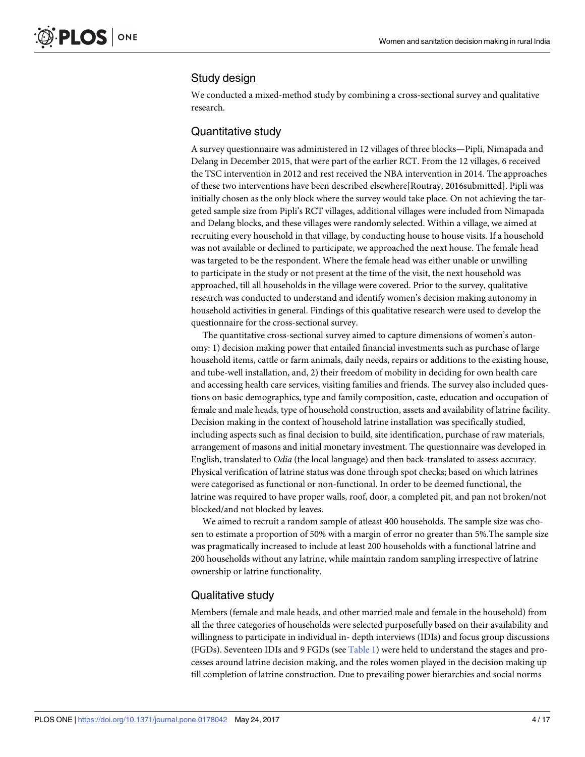## <span id="page-3-0"></span>Study design

We conducted a mixed-method study by combining a cross-sectional survey and qualitative research.

#### Quantitative study

A survey questionnaire was administered in 12 villages of three blocks—Pipli, Nimapada and Delang in December 2015, that were part of the earlier RCT. From the 12 villages, 6 received the TSC intervention in 2012 and rest received the NBA intervention in 2014. The approaches of these two interventions have been described elsewhere[Routray, 2016submitted]. Pipli was initially chosen as the only block where the survey would take place. On not achieving the targeted sample size from Pipli's RCT villages, additional villages were included from Nimapada and Delang blocks, and these villages were randomly selected. Within a village, we aimed at recruiting every household in that village, by conducting house to house visits. If a household was not available or declined to participate, we approached the next house. The female head was targeted to be the respondent. Where the female head was either unable or unwilling to participate in the study or not present at the time of the visit, the next household was approached, till all households in the village were covered. Prior to the survey, qualitative research was conducted to understand and identify women's decision making autonomy in household activities in general. Findings of this qualitative research were used to develop the questionnaire for the cross-sectional survey.

The quantitative cross-sectional survey aimed to capture dimensions of women's autonomy: 1) decision making power that entailed financial investments such as purchase of large household items, cattle or farm animals, daily needs, repairs or additions to the existing house, and tube-well installation, and, 2) their freedom of mobility in deciding for own health care and accessing health care services, visiting families and friends. The survey also included questions on basic demographics, type and family composition, caste, education and occupation of female and male heads, type of household construction, assets and availability of latrine facility. Decision making in the context of household latrine installation was specifically studied, including aspects such as final decision to build, site identification, purchase of raw materials, arrangement of masons and initial monetary investment. The questionnaire was developed in English, translated to *Odia* (the local language) and then back-translated to assess accuracy. Physical verification of latrine status was done through spot checks; based on which latrines were categorised as functional or non-functional. In order to be deemed functional, the latrine was required to have proper walls, roof, door, a completed pit, and pan not broken/not blocked/and not blocked by leaves.

We aimed to recruit a random sample of atleast 400 households. The sample size was chosen to estimate a proportion of 50% with a margin of error no greater than 5%.The sample size was pragmatically increased to include at least 200 households with a functional latrine and 200 households without any latrine, while maintain random sampling irrespective of latrine ownership or latrine functionality.

## Qualitative study

Members (female and male heads, and other married male and female in the household) from all the three categories of households were selected purposefully based on their availability and willingness to participate in individual in- depth interviews (IDIs) and focus group discussions (FGDs). Seventeen IDIs and 9 FGDs (see [Table](#page-4-0) 1) were held to understand the stages and processes around latrine decision making, and the roles women played in the decision making up till completion of latrine construction. Due to prevailing power hierarchies and social norms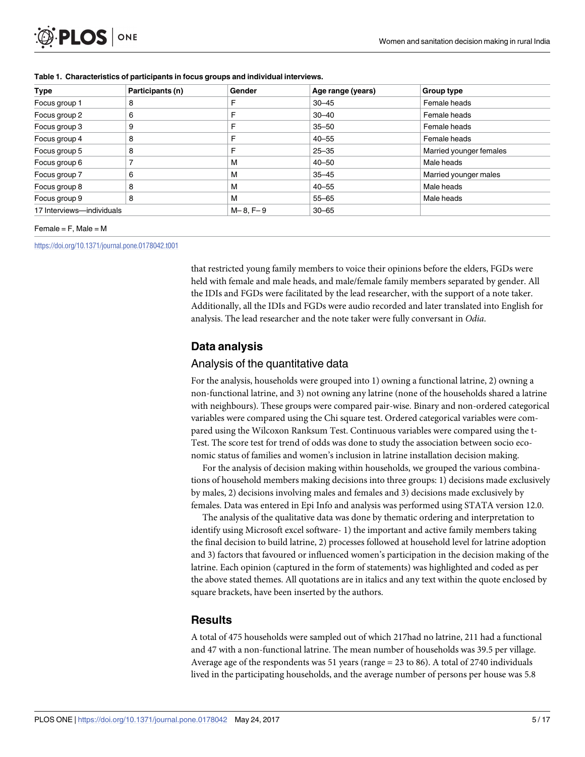<span id="page-4-0"></span>

| <b>Type</b>               | Participants (n) | Gender     | Age range (years) | Group type              |
|---------------------------|------------------|------------|-------------------|-------------------------|
| Focus group 1             | 8                |            | $30 - 45$         | Female heads            |
| Focus group 2             | 6                |            | $30 - 40$         | Female heads            |
| Focus group 3             | 9                |            | $35 - 50$         | Female heads            |
| Focus group 4             | 8                |            | $40 - 55$         | Female heads            |
| Focus group 5             | 8                |            | $25 - 35$         | Married younger females |
| Focus group 6             |                  | M          | $40 - 50$         | Male heads              |
| Focus group 7             | 6                | M          | $35 - 45$         | Married younger males   |
| Focus group 8             | 8                | M          | $40 - 55$         | Male heads              |
| Focus group 9             | 8                | М          | $55 - 65$         | Male heads              |
| 17 Interviews-individuals |                  | $M-8, F-9$ | $30 - 65$         |                         |

#### **[Table](#page-3-0) 1. Characteristics of participants in focus groups and individual interviews.**

#### $Female = F$ , Male = M

<https://doi.org/10.1371/journal.pone.0178042.t001>

that restricted young family members to voice their opinions before the elders, FGDs were held with female and male heads, and male/female family members separated by gender. All the IDIs and FGDs were facilitated by the lead researcher, with the support of a note taker. Additionally, all the IDIs and FGDs were audio recorded and later translated into English for analysis. The lead researcher and the note taker were fully conversant in *Odia*.

## **Data analysis**

#### Analysis of the quantitative data

For the analysis, households were grouped into 1) owning a functional latrine, 2) owning a non-functional latrine, and 3) not owning any latrine (none of the households shared a latrine with neighbours). These groups were compared pair-wise. Binary and non-ordered categorical variables were compared using the Chi square test. Ordered categorical variables were compared using the Wilcoxon Ranksum Test. Continuous variables were compared using the t-Test. The score test for trend of odds was done to study the association between socio economic status of families and women's inclusion in latrine installation decision making.

For the analysis of decision making within households, we grouped the various combinations of household members making decisions into three groups: 1) decisions made exclusively by males, 2) decisions involving males and females and 3) decisions made exclusively by females. Data was entered in Epi Info and analysis was performed using STATA version 12.0.

The analysis of the qualitative data was done by thematic ordering and interpretation to identify using Microsoft excel software- 1) the important and active family members taking the final decision to build latrine, 2) processes followed at household level for latrine adoption and 3) factors that favoured or influenced women's participation in the decision making of the latrine. Each opinion (captured in the form of statements) was highlighted and coded as per the above stated themes. All quotations are in italics and any text within the quote enclosed by square brackets, have been inserted by the authors.

#### **Results**

A total of 475 households were sampled out of which 217had no latrine, 211 had a functional and 47 with a non-functional latrine. The mean number of households was 39.5 per village. Average age of the respondents was 51 years (range = 23 to 86). A total of 2740 individuals lived in the participating households, and the average number of persons per house was 5.8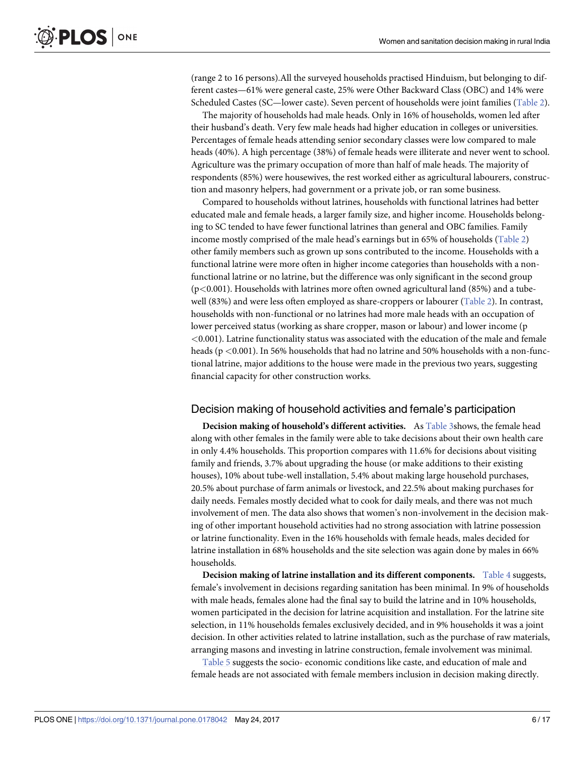<span id="page-5-0"></span>(range 2 to 16 persons).All the surveyed households practised Hinduism, but belonging to different castes—61% were general caste, 25% were Other Backward Class (OBC) and 14% were Scheduled Castes (SC—lower caste). Seven percent of households were joint families ([Table](#page-6-0) 2).

The majority of households had male heads. Only in 16% of households, women led after their husband's death. Very few male heads had higher education in colleges or universities. Percentages of female heads attending senior secondary classes were low compared to male heads (40%). A high percentage (38%) of female heads were illiterate and never went to school. Agriculture was the primary occupation of more than half of male heads. The majority of respondents (85%) were housewives, the rest worked either as agricultural labourers, construction and masonry helpers, had government or a private job, or ran some business.

Compared to households without latrines, households with functional latrines had better educated male and female heads, a larger family size, and higher income. Households belonging to SC tended to have fewer functional latrines than general and OBC families. Family income mostly comprised of the male head's earnings but in 65% of households [\(Table](#page-6-0) 2) other family members such as grown up sons contributed to the income. Households with a functional latrine were more often in higher income categories than households with a nonfunctional latrine or no latrine, but the difference was only significant in the second group (p*<*0.001). Households with latrines more often owned agricultural land (85%) and a tubewell (83%) and were less often employed as share-croppers or labourer ([Table](#page-6-0) 2). In contrast, households with non-functional or no latrines had more male heads with an occupation of lower perceived status (working as share cropper, mason or labour) and lower income (p *<*0.001). Latrine functionality status was associated with the education of the male and female heads (p *<*0.001). In 56% households that had no latrine and 50% households with a non-functional latrine, major additions to the house were made in the previous two years, suggesting financial capacity for other construction works.

#### Decision making of household activities and female's participation

**Decision making of household's different activities.** As [Table](#page-8-0) 3shows, the female head along with other females in the family were able to take decisions about their own health care in only 4.4% households. This proportion compares with 11.6% for decisions about visiting family and friends, 3.7% about upgrading the house (or make additions to their existing houses), 10% about tube-well installation, 5.4% about making large household purchases, 20.5% about purchase of farm animals or livestock, and 22.5% about making purchases for daily needs. Females mostly decided what to cook for daily meals, and there was not much involvement of men. The data also shows that women's non-involvement in the decision making of other important household activities had no strong association with latrine possession or latrine functionality. Even in the 16% households with female heads, males decided for latrine installation in 68% households and the site selection was again done by males in 66% households.

**Decision making of latrine installation and its different components.** [Table](#page-9-0) 4 suggests, female's involvement in decisions regarding sanitation has been minimal. In 9% of households with male heads, females alone had the final say to build the latrine and in 10% households, women participated in the decision for latrine acquisition and installation. For the latrine site selection, in 11% households females exclusively decided, and in 9% households it was a joint decision. In other activities related to latrine installation, such as the purchase of raw materials, arranging masons and investing in latrine construction, female involvement was minimal.

[Table](#page-10-0) 5 suggests the socio- economic conditions like caste, and education of male and female heads are not associated with female members inclusion in decision making directly.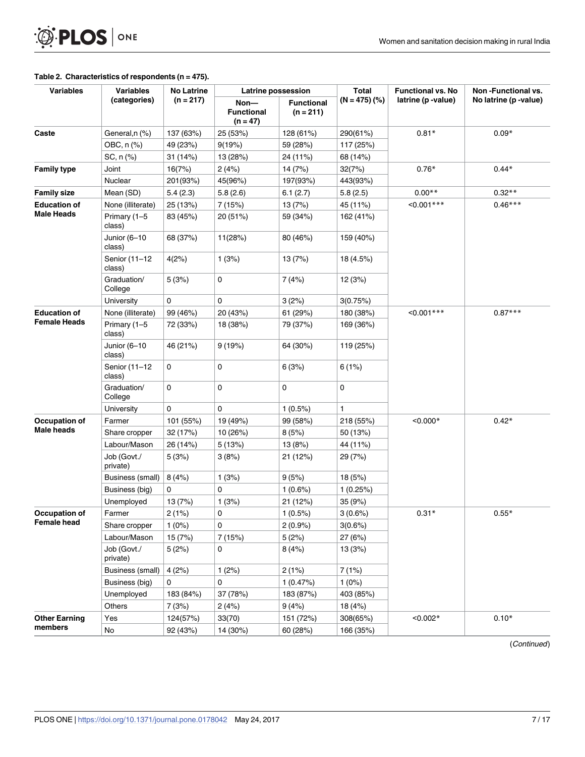<span id="page-6-0"></span>

| <b>Variables</b>     | <b>Variables</b>        | <b>No Latrine</b> |                                         | <b>Latrine possession</b>        | Total           | <b>Functional vs. No</b> | Non-Functional vs.    |
|----------------------|-------------------------|-------------------|-----------------------------------------|----------------------------------|-----------------|--------------------------|-----------------------|
|                      | (categories)            | $(n = 217)$       | Non-<br><b>Functional</b><br>$(n = 47)$ | <b>Functional</b><br>$(n = 211)$ | $(N = 475)$ (%) | latrine (p -value)       | No latrine (p -value) |
| Caste                | General, n(%)           | 137 (63%)         | 25 (53%)                                | 128 (61%)                        | 290(61%)        | $0.81*$                  | $0.09*$               |
|                      | OBC, n (%)              | 49 (23%)          | 9(19%)                                  | 59 (28%)                         | 117 (25%)       |                          |                       |
|                      | SC, n (%)               | 31 (14%)          | 13 (28%)                                | 24 (11%)                         | 68 (14%)        |                          |                       |
| <b>Family type</b>   | Joint                   | 16(7%)            | 2(4%)                                   | 14 (7%)                          | 32(7%)          | $0.76*$                  | $0.44*$               |
|                      | Nuclear                 | 201(93%)          | 45(96%)                                 | 197(93%)                         | 443(93%)        |                          |                       |
| <b>Family size</b>   | Mean (SD)               | 5.4(2.3)          | 5.8(2.6)                                | 6.1(2.7)                         | 5.8(2.5)        | $0.00**$                 | $0.32**$              |
| <b>Education of</b>  | None (illiterate)       | 25 (13%)          | 7(15%)                                  | 13 (7%)                          | 45 (11%)        | $< 0.001$ ***            | $0.46***$             |
| <b>Male Heads</b>    | Primary (1-5<br>class)  | 83 (45%)          | 20 (51%)                                | 59 (34%)                         | 162 (41%)       |                          |                       |
|                      | Junior (6-10<br>class)  | 68 (37%)          | 11(28%)                                 | 80 (46%)                         | 159 (40%)       |                          |                       |
|                      | Senior (11-12<br>class) | 4(2%)             | 1(3%)                                   | 13 (7%)                          | 18 (4.5%)       |                          |                       |
|                      | Graduation/<br>College  | 5(3%)             | $\mathsf{O}\xspace$                     | 7(4%)                            | 12(3%)          |                          |                       |
|                      | University              | $\mathbf 0$       | $\mathbf 0$                             | 3(2%)                            | 3(0.75%)        |                          |                       |
| <b>Education of</b>  | None (illiterate)       | 99 (46%)          | 20 (43%)                                | 61 (29%)                         | 180 (38%)       | $< 0.001***$             | $0.87***$             |
| <b>Female Heads</b>  | Primary (1-5<br>class)  | 72 (33%)          | 18 (38%)                                | 79 (37%)                         | 169 (36%)       |                          |                       |
|                      | Junior (6-10<br>class)  | 46 (21%)          | 9(19%)                                  | 64 (30%)                         | 119 (25%)       |                          |                       |
|                      | Senior (11-12<br>class) | 0                 | 0                                       | 6(3%)                            | 6(1%)           |                          |                       |
|                      | Graduation/<br>College  | 0                 | 0                                       | 0                                | 0               |                          |                       |
|                      | University              | 0                 | 0                                       | $1(0.5\%)$                       | $\mathbf{1}$    |                          |                       |
| Occupation of        | Farmer                  | 101 (55%)         | 19 (49%)                                | 99 (58%)                         | 218 (55%)       | $< 0.000*$               | $0.42*$               |
| <b>Male heads</b>    | Share cropper           | 32 (17%)          | 10 (26%)                                | 8(5%)                            | 50 (13%)        |                          |                       |
|                      | Labour/Mason            | 26 (14%)          | 5(13%)                                  | 13 (8%)                          | 44 (11%)        |                          |                       |
|                      | Job (Govt./<br>private) | 5(3%)             | 3(8%)                                   | 21 (12%)                         | 29 (7%)         |                          |                       |
|                      | Business (small)        | 8(4%)             | 1(3%)                                   | 9(5%)                            | 18 (5%)         |                          |                       |
|                      | Business (big)          | 0                 | 0                                       | 1(0.6%)                          | 1(0.25%)        |                          |                       |
|                      | Unemployed              | 13 (7%)           | 1(3%)                                   | 21 (12%)                         | 35 (9%)         |                          |                       |
| Occupation of        | Farmer                  | 2(1%)             | 0                                       | $1(0.5\%)$                       | 3(0.6%)         | $0.31*$                  | $0.55*$               |
| Female head          | Share cropper           | 1(0%)             | 0                                       | 2(0.9%                           | 3(0.6%)         |                          |                       |
|                      | Labour/Mason            | 15 (7%)           | 7 (15%)                                 | 5(2%)                            | 27 (6%)         |                          |                       |
|                      | Job (Govt./<br>private) | 5(2%)             | 0                                       | 8(4%)                            | 13(3%)          |                          |                       |
|                      | Business (small)        | 4(2%)             | 1(2%)                                   | 2(1%)                            | 7(1%)           |                          |                       |
|                      | Business (big)          | 0                 | $\mathbf 0$                             | 1(0.47%)                         | $1(0\%)$        |                          |                       |
|                      | Unemployed              | 183 (84%)         | 37 (78%)                                | 183 (87%)                        | 403 (85%)       |                          |                       |
|                      | Others                  | 7(3%)             | 2(4%)                                   | 9(4%)                            | 18 (4%)         |                          |                       |
| <b>Other Earning</b> | Yes                     | 124(57%)          | 33(70)                                  | 151 (72%)                        | 308(65%)        | $< 0.002*$               | $0.10*$               |
| members              | No                      | 92 (43%)          | 14 (30%)                                | 60 (28%)                         | 166 (35%)       |                          |                       |

#### **[Table](#page-5-0) 2. Characteristics of respondents (n = 475).**

(Continued)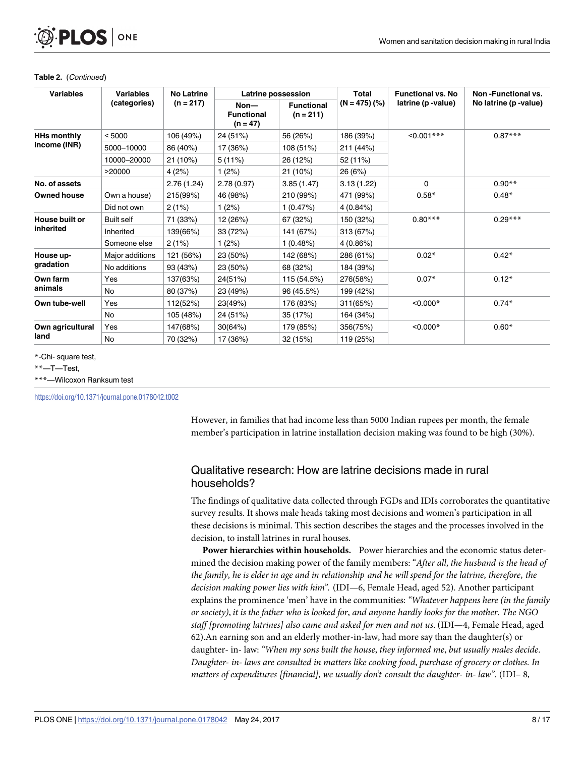

| <b>Variables</b>   | <b>Variables</b> | <b>No Latrine</b> |                                         | Latrine possession               | <b>Total</b>    | <b>Functional vs. No</b> | Non-Functional vs.    |
|--------------------|------------------|-------------------|-----------------------------------------|----------------------------------|-----------------|--------------------------|-----------------------|
|                    | (categories)     | $(n = 217)$       | Non-<br><b>Functional</b><br>$(n = 47)$ | <b>Functional</b><br>$(n = 211)$ | $(N = 475)$ (%) | latrine (p -value)       | No latrine (p -value) |
| <b>HHs monthly</b> | < 5000           | 106 (49%)         | 24 (51%)                                | 56 (26%)                         | 186 (39%)       | $< 0.001$ ***            | $0.87***$             |
| income (INR)       | 5000-10000       | 86 (40%)          | 17 (36%)                                | 108 (51%)                        | 211 (44%)       |                          |                       |
|                    | 10000-20000      | 21 (10%)          | 5(11%)                                  | 26 (12%)                         | 52 (11%)        |                          |                       |
|                    | >20000           | 4(2%)             | 1(2%)                                   | 21 (10%)                         | 26 (6%)         |                          |                       |
| No. of assets      |                  | 2.76(1.24)        | 2.78(0.97)                              | 3.85(1.47)                       | 3.13(1.22)      | $\Omega$                 | $0.90**$              |
| <b>Owned house</b> | Own a house)     | 215(99%)          | 46 (98%)                                | 210 (99%)                        | 471 (99%)       | $0.58*$                  | $0.48*$               |
|                    | Did not own      | 2(1%)             | 1(2%)                                   | 1(0.47%)                         | $4(0.84\%)$     |                          |                       |
| House built or     | Built self       | 71 (33%)          | 12 (26%)                                | 67 (32%)                         | 150 (32%)       | $0.80***$                | $0.29***$             |
| inherited          | Inherited        | 139(66%)          | 33 (72%)                                | 141 (67%)                        | 313 (67%)       |                          |                       |
|                    | Someone else     | 2(1%)             | 1(2%)                                   | 1(0.48%)                         | 4(0.86%)        |                          |                       |
| House up-          | Major additions  | 121 (56%)         | 23 (50%)                                | 142 (68%)                        | 286 (61%)       | $0.02*$                  | $0.42*$               |
| gradation          | No additions     | 93 (43%)          | 23 (50%)                                | 68 (32%)                         | 184 (39%)       |                          |                       |
| Own farm           | Yes              | 137(63%)          | 24(51%)                                 | 115 (54.5%)                      | 276(58%)        | $0.07*$                  | $0.12*$               |
| animals            | <b>No</b>        | 80 (37%)          | 23 (49%)                                | 96 (45.5%)                       | 199 (42%)       |                          |                       |
| Own tube-well      | Yes              | 112(52%)          | 23(49%)                                 | 176 (83%)                        | 311(65%)        | $< 0.000*$               | $0.74*$               |
|                    | No               | 105 (48%)         | 24 (51%)                                | 35 (17%)                         | 164 (34%)       |                          |                       |
| Own agricultural   | Yes              | 147(68%)          | 30(64%)                                 | 179 (85%)                        | 356(75%)        | $< 0.000*$               | $0.60*$               |
| land               | No               | 70 (32%)          | 17 (36%)                                | 32 (15%)                         | 119 (25%)       |                          |                       |

#### **Table 2.** (Continued)

\*-Chi- square test,

\*\*—T—Test,

\*\*\*—Wilcoxon Ranksum test

<https://doi.org/10.1371/journal.pone.0178042.t002>

However, in families that had income less than 5000 Indian rupees per month, the female member's participation in latrine installation decision making was found to be high (30%).

## Qualitative research: How are latrine decisions made in rural households?

The findings of qualitative data collected through FGDs and IDIs corroborates the quantitative survey results. It shows male heads taking most decisions and women's participation in all these decisions is minimal. This section describes the stages and the processes involved in the decision, to install latrines in rural houses.

**Power hierarchies within households.** Power hierarchies and the economic status determined the decision making power of the family members: "*After all*, *the husband is the head of* the family, he is elder in age and in relationship and he will spend for the latrine, therefore, the *decision making power lies with him"*. (IDI—6, Female Head, aged 52). Another participant explains the prominence 'men' have in the communities: *"Whatever happens here (in the family* or society), it is the father who is looked for, and anyone hardly looks for the mother. The NGO *staff [promoting latrines] also came and asked for men and not us*. (IDI—4, Female Head, aged 62).An earning son and an elderly mother-in-law, had more say than the daughter(s) or daughter- in- law: *"When my sons built the house*, *they informed me*, *but usually males decide*. *Daughter- in- laws are consulted in matters like cooking food*, *purchase of grocery or clothes*. *In matters of expenditures [financial]*, *we usually don't consult the daughter- in- law"*. (IDI– 8,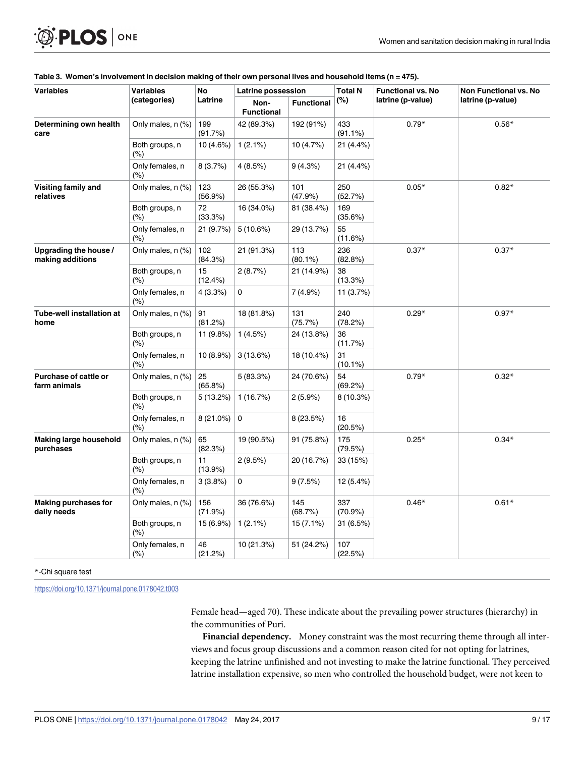<span id="page-8-0"></span>

| <b>D.PLOS</b> ONE |  |
|-------------------|--|
|-------------------|--|

| <b>Variables</b>                           | <b>Variables</b>          | No                | Latrine possession        |                   | <b>Total N</b>    | <b>Functional vs. No</b> | Non Functional vs. No |  |
|--------------------------------------------|---------------------------|-------------------|---------------------------|-------------------|-------------------|--------------------------|-----------------------|--|
|                                            | (categories)              | Latrine           | Non-<br><b>Functional</b> | <b>Functional</b> | $(\%)$            | latrine (p-value)        | latrine (p-value)     |  |
| Determining own health<br>care             | Only males, n (%)         | 199<br>(91.7%)    | 42 (89.3%)                | 192 (91%)         | 433<br>$(91.1\%)$ | $0.79*$                  | $0.56*$               |  |
|                                            | Both groups, n<br>(% )    | 10 (4.6%)         | $1(2.1\%)$                | 10 (4.7%)         | 21 (4.4%)         |                          |                       |  |
|                                            | Only females, n<br>(%)    | 8(3.7%)           | 4(8.5%)                   | 9(4.3%)           | 21 (4.4%)         |                          |                       |  |
| Visiting family and<br>relatives           | Only males, n (%)         | 123<br>$(56.9\%)$ | 26 (55.3%)                | 101<br>(47.9%)    | 250<br>(52.7%)    | $0.05*$                  | $0.82*$               |  |
|                                            | Both groups, n<br>(%)     | 72<br>(33.3%)     | 16 (34.0%)                | 81 (38.4%)        | 169<br>(35.6%)    |                          |                       |  |
|                                            | Only females, n<br>(%)    | 21 (9.7%)         | 5(10.6%)                  | 29 (13.7%)        | 55<br>(11.6%)     |                          |                       |  |
| Upgrading the house /<br>making additions  | Only males, n (%)         | 102<br>(84.3%)    | 21 (91.3%)                | 113<br>$(80.1\%)$ | 236<br>(82.8%)    | $0.37*$                  | $0.37*$               |  |
|                                            | Both groups, n<br>(%)     | 15<br>$(12.4\%)$  | 2(8.7%)                   | 21 (14.9%)        | 38<br>(13.3%)     |                          |                       |  |
|                                            | Only females, n<br>(%)    | 4(3.3%)           | $\Omega$                  | 7(4.9%)           | 11 (3.7%)         |                          |                       |  |
| Tube-well installation at<br>home          | Only males, n (%)         | 91<br>(81.2%)     | 18 (81.8%)                | 131<br>(75.7%)    | 240<br>(78.2%)    | $0.29*$                  | $0.97*$               |  |
|                                            | Both groups, n<br>(%)     | 11 (9.8%)         | 1(4.5%)                   | 24 (13.8%)        | 36<br>(11.7%)     |                          |                       |  |
|                                            | Only females, n<br>(%)    | $10(8.9\%)$       | 3(13.6%)                  | 18 (10.4%)        | 31<br>$(10.1\%)$  |                          |                       |  |
| Purchase of cattle or<br>farm animals      | Only males, n (%)         | 25<br>(65.8%)     | 5 (83.3%)                 | 24 (70.6%)        | 54<br>$(69.2\%)$  | $0.79*$                  | $0.32*$               |  |
|                                            | Both groups, n<br>(%)     | 5(13.2%)          | 1(16.7%)                  | $2(5.9\%)$        | 8 (10.3%)         |                          |                       |  |
|                                            | Only females, n<br>(% )   | 8 (21.0%)         | $\mathbf 0$               | 8 (23.5%)         | 16<br>(20.5%)     |                          |                       |  |
| Making large household<br>purchases        | Only males, n (%)         | 65<br>(82.3%)     | 19 (90.5%)                | 91 (75.8%)        | 175<br>(79.5%)    | $0.25*$                  | $0.34*$               |  |
|                                            | Both groups, n<br>(%)     | 11<br>$(13.9\%)$  | 2(9.5%)                   | 20 (16.7%)        | 33 (15%)          |                          |                       |  |
|                                            | Only females, n<br>$(\%)$ | 3(3.8%)           | 0                         | 9(7.5%)           | 12 (5.4%)         |                          |                       |  |
| <b>Making purchases for</b><br>daily needs | Only males, n (%)         | 156<br>(71.9%)    | 36 (76.6%)                | 145<br>(68.7%)    | 337<br>$(70.9\%)$ | $0.46*$                  | $0.61*$               |  |
|                                            | Both groups, n<br>(% )    | 15 (6.9%)         | 1(2.1%)                   | 15(7.1%)          | 31 (6.5%)         |                          |                       |  |
|                                            | Only females, n<br>$(\%)$ | 46<br>(21.2%)     | 10 (21.3%)                | 51 (24.2%)        | 107<br>(22.5%)    |                          |                       |  |

#### [Table](#page-5-0) 3. Women's involvement in decision making of their own personal lives and household items (n = 475).

\*-Chi square test

<https://doi.org/10.1371/journal.pone.0178042.t003>

Female head—aged 70). These indicate about the prevailing power structures (hierarchy) in the communities of Puri.

**Financial dependency.** Money constraint was the most recurring theme through all interviews and focus group discussions and a common reason cited for not opting for latrines, keeping the latrine unfinished and not investing to make the latrine functional. They perceived latrine installation expensive, so men who controlled the household budget, were not keen to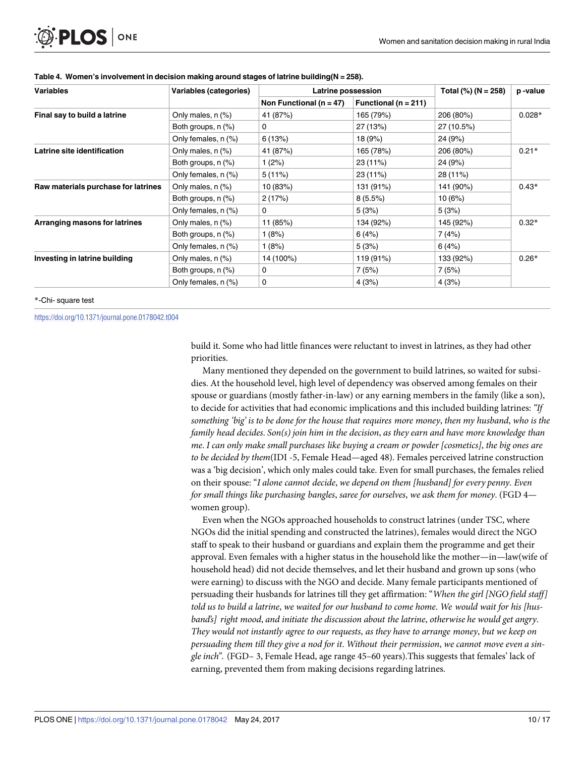<span id="page-9-0"></span>

| <b>O PLOS</b> ONE |  |
|-------------------|--|
|-------------------|--|

| <b>Variables</b>                    | Variables (categories) | Latrine possession          | Total $(\%)$ (N = 258)   | p-value    |                               |
|-------------------------------------|------------------------|-----------------------------|--------------------------|------------|-------------------------------|
|                                     |                        | Non Functional ( $n = 47$ ) | Functional ( $n = 211$ ) |            |                               |
| Final say to build a latrine        | Only males, n (%)      | 41 (87%)                    | 165 (79%)                | 206 (80%)  | $0.028*$                      |
|                                     | Both groups, n (%)     | 0                           | 27 (13%)                 | 27 (10.5%) |                               |
|                                     | Only females, n (%)    | 6(13%)                      | 18 (9%)                  | 24 (9%)    |                               |
| Latrine site identification         | Only males, n (%)      | 41 (87%)                    | 165 (78%)                | 206 (80%)  | $0.21*$                       |
|                                     | Both groups, n (%)     | 1(2%)                       | 23 (11%)                 | 24 (9%)    |                               |
|                                     | Only females, n (%)    | 5(11%)                      | 23 (11%)                 | 28 (11%)   | $0.43*$<br>$0.32*$<br>$0.26*$ |
| Raw materials purchase for latrines | Only males, $n$ $(\%)$ | 10 (83%)                    | 131 (91%)                | 141 (90%)  |                               |
|                                     | Both groups, n (%)     | 2(17%)                      | 8(5.5%)                  | 10(6%)     |                               |
|                                     | Only females, n (%)    | 0                           | 5(3%)                    | 5(3%)      |                               |
| Arranging masons for latrines       | Only males, n (%)      | 11 (85%)                    | 134 (92%)                | 145 (92%)  |                               |
|                                     | Both groups, n (%)     | 1(8%)                       | 6(4%)                    | 7(4%)      |                               |
|                                     | Only females, n (%)    | 1(8%)                       | 5(3%)                    | 6(4%)      |                               |
| Investing in latrine building       | Only males, n (%)      | 14 (100%)                   | 119 (91%)                | 133 (92%)  |                               |
|                                     | Both groups, n (%)     | 0                           | 7(5%)                    | 7(5%)      |                               |
|                                     | Only females, n (%)    | 0                           | 4(3%)                    | 4(3%)      |                               |

#### **[Table](#page-5-0) 4. Women's involvement in decision making around stages of latrine building(N = 258).**

\*-Chi- square test

<https://doi.org/10.1371/journal.pone.0178042.t004>

build it. Some who had little finances were reluctant to invest in latrines, as they had other priorities.

Many mentioned they depended on the government to build latrines, so waited for subsidies. At the household level, high level of dependency was observed among females on their spouse or guardians (mostly father-in-law) or any earning members in the family (like a son), to decide for activities that had economic implications and this included building latrines: *"If* something 'big' is to be done for the house that requires more money, then my husband, who is the *family head decides*. *Son(s) join him in the decision*, *as they earn and have more knowledge than me*. *I can only make small purchases like buying a cream or powder [cosmetics]*, *the big ones are to be decided by them*(IDI -5, Female Head—aged 48). Females perceived latrine construction was a 'big decision', which only males could take. Even for small purchases, the females relied on their spouse: "*I alone cannot decide*, *we depend on them [husband] for every penny*. *Even for small things like purchasing bangles*, *saree for ourselves*, *we ask them for money*. (FGD 4 women group).

Even when the NGOs approached households to construct latrines (under TSC, where NGOs did the initial spending and constructed the latrines), females would direct the NGO staff to speak to their husband or guardians and explain them the programme and get their approval. Even females with a higher status in the household like the mother—in—law(wife of household head) did not decide themselves, and let their husband and grown up sons (who were earning) to discuss with the NGO and decide. Many female participants mentioned of persuading their husbands for latrines till they get affirmation: "*When the girl [NGO field staff]* told us to build a latrine, we waited for our husband to come home. We would wait for his [hus*band's] right mood*, *and initiate the discussion about the latrine*, *otherwise he would get angry*. *They would not instantly agree to our requests*, *as they have to arrange money*, *but we keep on persuading them till they give a nod for it*. *Without their permission*, *we cannot move even a single inch"*. (FGD– 3, Female Head, age range 45–60 years).This suggests that females' lack of earning, prevented them from making decisions regarding latrines.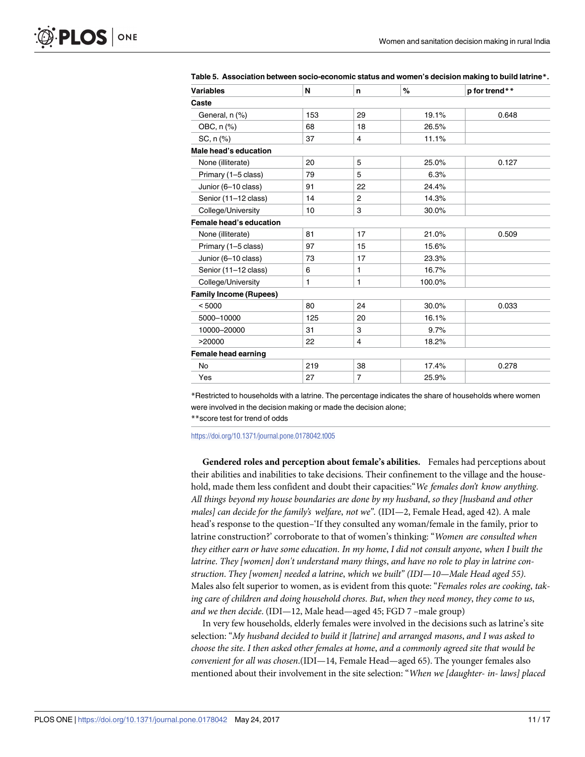| <b>Variables</b>               | N   | n              | $\%$   | p for trend** |
|--------------------------------|-----|----------------|--------|---------------|
| Caste                          |     |                |        |               |
| General, n (%)                 | 153 | 29             | 19.1%  | 0.648         |
| OBC, n (%)                     | 68  | 18             | 26.5%  |               |
| SC, n (%)                      | 37  | $\overline{4}$ | 11.1%  |               |
| Male head's education          |     |                |        |               |
| None (illiterate)              | 20  | 5              | 25.0%  | 0.127         |
| Primary (1-5 class)            | 79  | 5              | 6.3%   |               |
| Junior (6-10 class)            | 91  | 22             | 24.4%  |               |
| Senior (11-12 class)           | 14  | $\overline{c}$ | 14.3%  |               |
| College/University             | 10  | 3              | 30.0%  |               |
| <b>Female head's education</b> |     |                |        |               |
| None (illiterate)              | 81  | 17             | 21.0%  | 0.509         |
| Primary (1-5 class)            | 97  | 15             | 15.6%  |               |
| Junior (6-10 class)            | 73  | 17             | 23.3%  |               |
| Senior (11-12 class)           | 6   | 1              | 16.7%  |               |
| College/University             | 1   | 1              | 100.0% |               |
| <b>Family Income (Rupees)</b>  |     |                |        |               |
| < 5000                         | 80  | 24             | 30.0%  | 0.033         |
| 5000-10000                     | 125 | 20             | 16.1%  |               |
| 10000-20000                    | 31  | 3              | 9.7%   |               |
| >20000                         | 22  | 4              | 18.2%  |               |
| Female head earning            |     |                |        |               |
| No                             | 219 | 38             | 17.4%  | 0.278         |
| Yes                            | 27  | 7              | 25.9%  |               |

<span id="page-10-0"></span>**[Table](#page-5-0) 5. Association between socio-economic status and women's decision making to build latrine\*.**

\*Restricted to households with a latrine. The percentage indicates the share of households where women were involved in the decision making or made the decision alone;

\*\*score test for trend of odds

<https://doi.org/10.1371/journal.pone.0178042.t005>

**Gendered roles and perception about female's abilities.** Females had perceptions about their abilities and inabilities to take decisions. Their confinement to the village and the household, made them less confident and doubt their capacities:"*We females don't know anything*. *All things beyond my house boundaries are done by my husband*, *so they [husband and other males] can decide for the family's welfare*, *not we"*. (IDI—2, Female Head, aged 42). A male head's response to the question–'If they consulted any woman/female in the family, prior to latrine construction?' corroborate to that of women's thinking: "*Women are consulted when* they either earn or have some education. In my home, I did not consult anyone, when I built the *latrine*. *They [women] don't understand many things*, *and have no role to play in latrine construction*. *They [women] needed a latrine*, *which we built" (IDI—10—Male Head aged 55)*. Males also felt superior to women, as is evident from this quote: "*Females roles are cooking*, *taking care of children and doing household chores*. *But*, *when they need money*, *they come to us*, *and we then decide*. (IDI—12, Male head—aged 45; FGD 7 –male group)

In very few households, elderly females were involved in the decisions such as latrine's site selection: "*My husband decided to build it [latrine] and arranged masons*, *and I was asked to choose the site*. *I then asked other females at home*, *and a commonly agreed site that would be convenient for all was chosen*.(IDI—14, Female Head—aged 65). The younger females also mentioned about their involvement in the site selection: "*When we [daughter- in- laws] placed*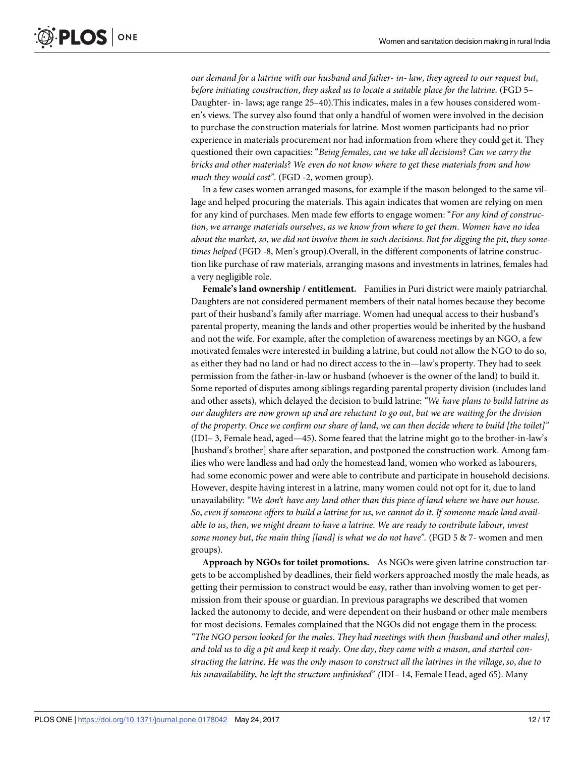*our demand for a latrine with our husband and father- in- law*, *they agreed to our request but*, *before initiating construction*, *they asked us to locate a suitable place for the latrine*. (FGD 5– Daughter- in- laws; age range 25–40).This indicates, males in a few houses considered women's views. The survey also found that only a handful of women were involved in the decision to purchase the construction materials for latrine. Most women participants had no prior experience in materials procurement nor had information from where they could get it. They questioned their own capacities: "*Being females*, *can we take all decisions*? *Can we carry the bricks and other materials*? *We even do not know where to get these materials from and how much they would cost"*. (FGD -2, women group).

In a few cases women arranged masons, for example if the mason belonged to the same village and helped procuring the materials. This again indicates that women are relying on men for any kind of purchases. Men made few efforts to engage women: "*For any kind of construction*, *we arrange materials ourselves*, *as we know from where to get them*. *Women have no idea* about the market, so, we did not involve them in such decisions. But for digging the pit, they some*times helped* (FGD -8, Men's group).Overall, in the different components of latrine construction like purchase of raw materials, arranging masons and investments in latrines, females had a very negligible role.

**Female's land ownership / entitlement.** Families in Puri district were mainly patriarchal. Daughters are not considered permanent members of their natal homes because they become part of their husband's family after marriage. Women had unequal access to their husband's parental property, meaning the lands and other properties would be inherited by the husband and not the wife. For example, after the completion of awareness meetings by an NGO, a few motivated females were interested in building a latrine, but could not allow the NGO to do so, as either they had no land or had no direct access to the in—law's property. They had to seek permission from the father-in-law or husband (whoever is the owner of the land) to build it. Some reported of disputes among siblings regarding parental property division (includes land and other assets), which delayed the decision to build latrine: *"We have plans to build latrine as* our daughters are now grown up and are reluctant to go out, but we are waiting for the division of the property. Once we confirm our share of land, we can then decide where to build [the toilet]" (IDI– 3, Female head, aged—45). Some feared that the latrine might go to the brother-in-law's [husband's brother] share after separation, and postponed the construction work. Among families who were landless and had only the homestead land, women who worked as labourers, had some economic power and were able to contribute and participate in household decisions. However, despite having interest in a latrine, many women could not opt for it, due to land unavailability: *"We don't have any land other than this piece of land where we have our house*. So, even if someone offers to build a latrine for us, we cannot do it. If someone made land avail*able to us*, *then*, *we might dream to have a latrine*. *We are ready to contribute labour*, *invest some money but*, *the main thing [land] is what we do not have"*. (FGD 5 & 7- women and men groups).

**Approach by NGOs for toilet promotions.** As NGOs were given latrine construction targets to be accomplished by deadlines, their field workers approached mostly the male heads, as getting their permission to construct would be easy, rather than involving women to get permission from their spouse or guardian. In previous paragraphs we described that women lacked the autonomy to decide, and were dependent on their husband or other male members for most decisions. Females complained that the NGOs did not engage them in the process: *"The NGO person looked for the males*. *They had meetings with them [husband and other males]*, and told us to dig a pit and keep it ready. One day, they came with a mason, and started constructing the latrine. He was the only mason to construct all the latrines in the village, so, due to *his unavailability*, *he left the structure unfinished" (*IDI– 14, Female Head, aged 65). Many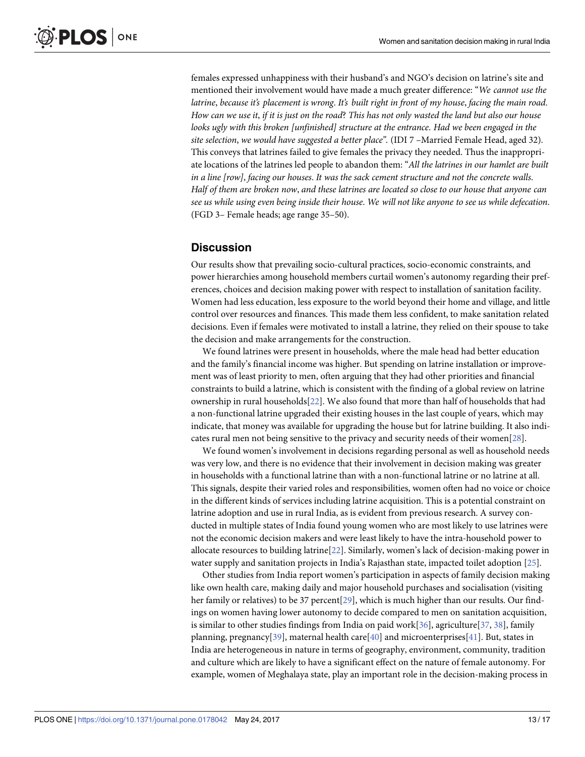<span id="page-12-0"></span>females expressed unhappiness with their husband's and NGO's decision on latrine's site and mentioned their involvement would have made a much greater difference: "*We cannot use the* latrine, because it's placement is wrong. It's built right in front of my house, facing the main road. How can we use it, if it is just on the road? This has not only wasted the land but also our house *looks ugly with this broken [unfinished] structure at the entrance*. *Had we been engaged in the site selection*, *we would have suggested a better place"*. (IDI 7 –Married Female Head, aged 32). This conveys that latrines failed to give females the privacy they needed. Thus the inappropriate locations of the latrines led people to abandon them: "*All the latrines in our hamlet are built in a line [row]*, *facing our houses*. *It was the sack cement structure and not the concrete walls*. Half of them are broken now, and these latrines are located so close to our house that anyone can see us while using even being inside their house. We will not like anyone to see us while defecation. (FGD 3– Female heads; age range 35–50).

#### **Discussion**

Our results show that prevailing socio-cultural practices, socio-economic constraints, and power hierarchies among household members curtail women's autonomy regarding their preferences, choices and decision making power with respect to installation of sanitation facility. Women had less education, less exposure to the world beyond their home and village, and little control over resources and finances. This made them less confident, to make sanitation related decisions. Even if females were motivated to install a latrine, they relied on their spouse to take the decision and make arrangements for the construction.

We found latrines were present in households, where the male head had better education and the family's financial income was higher. But spending on latrine installation or improvement was of least priority to men, often arguing that they had other priorities and financial constraints to build a latrine, which is consistent with the finding of a global review on latrine ownership in rural households[[22](#page-15-0)]. We also found that more than half of households that had a non-functional latrine upgraded their existing houses in the last couple of years, which may indicate, that money was available for upgrading the house but for latrine building. It also indicates rural men not being sensitive to the privacy and security needs of their women[\[28\]](#page-15-0).

We found women's involvement in decisions regarding personal as well as household needs was very low, and there is no evidence that their involvement in decision making was greater in households with a functional latrine than with a non-functional latrine or no latrine at all. This signals, despite their varied roles and responsibilities, women often had no voice or choice in the different kinds of services including latrine acquisition. This is a potential constraint on latrine adoption and use in rural India, as is evident from previous research. A survey conducted in multiple states of India found young women who are most likely to use latrines were not the economic decision makers and were least likely to have the intra-household power to allocate resources to building latrine[\[22\]](#page-15-0). Similarly, women's lack of decision-making power in water supply and sanitation projects in India's Rajasthan state, impacted toilet adoption [[25](#page-15-0)].

Other studies from India report women's participation in aspects of family decision making like own health care, making daily and major household purchases and socialisation (visiting her family or relatives) to be 37 percent[\[29\]](#page-15-0), which is much higher than our results. Our findings on women having lower autonomy to decide compared to men on sanitation acquisition, is similar to other studies findings from India on paid work[ $36$ ], agriculture[ $37, 38$ ], family planning, pregnancy[[39\]](#page-16-0), maternal health care[\[40\]](#page-16-0) and microenterprises[[41](#page-16-0)]. But, states in India are heterogeneous in nature in terms of geography, environment, community, tradition and culture which are likely to have a significant effect on the nature of female autonomy. For example, women of Meghalaya state, play an important role in the decision-making process in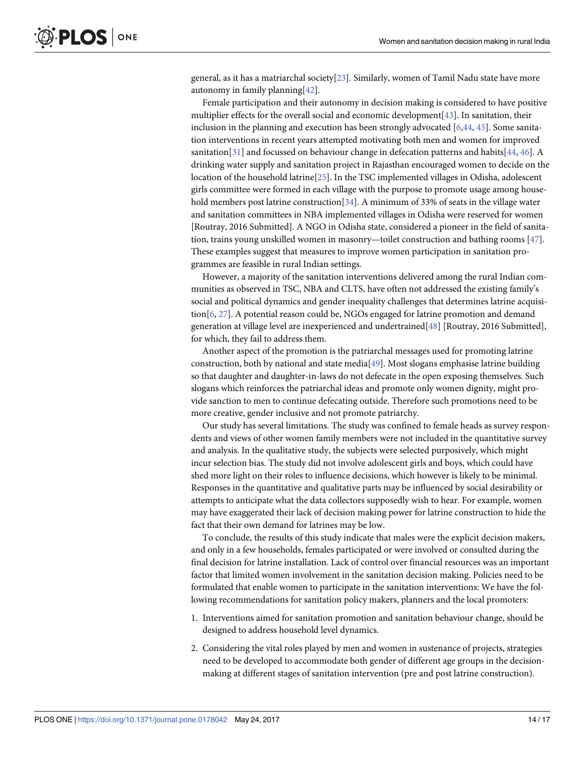<span id="page-13-0"></span>general, as it has a matriarchal society[[23](#page-15-0)]. Similarly, women of Tamil Nadu state have more autonomy in family planning[[42](#page-16-0)].

Female participation and their autonomy in decision making is considered to have positive multiplier effects for the overall social and economic development[[43\]](#page-16-0). In sanitation, their inclusion in the planning and execution has been strongly advocated  $[6,44, 45]$  $[6,44, 45]$  $[6,44, 45]$  $[6,44, 45]$  $[6,44, 45]$  $[6,44, 45]$ . Some sanitation interventions in recent years attempted motivating both men and women for improved sanitation[\[31\]](#page-16-0) and focussed on behaviour change in defecation patterns and habits[[44](#page-16-0), [46](#page-16-0)]. A drinking water supply and sanitation project in Rajasthan encouraged women to decide on the location of the household latrine<sup>[\[25\]](#page-15-0)</sup>. In the TSC implemented villages in Odisha, adolescent girls committee were formed in each village with the purpose to promote usage among household members post latrine construction[\[34\]](#page-16-0). A minimum of 33% of seats in the village water and sanitation committees in NBA implemented villages in Odisha were reserved for women [Routray, 2016 Submitted]. A NGO in Odisha state, considered a pioneer in the field of sanitation, trains young unskilled women in masonry—toilet construction and bathing rooms [\[47](#page-16-0)]. These examples suggest that measures to improve women participation in sanitation programmes are feasible in rural Indian settings.

However, a majority of the sanitation interventions delivered among the rural Indian communities as observed in TSC, NBA and CLTS, have often not addressed the existing family's social and political dynamics and gender inequality challenges that determines latrine acquisition[[6](#page-15-0), [27](#page-15-0)]. A potential reason could be, NGOs engaged for latrine promotion and demand generation at village level are inexperienced and undertrained[[48](#page-16-0)] [Routray, 2016 Submitted], for which, they fail to address them.

Another aspect of the promotion is the patriarchal messages used for promoting latrine construction, both by national and state media[[49\]](#page-16-0). Most slogans emphasise latrine building so that daughter and daughter-in-laws do not defecate in the open exposing themselves. Such slogans which reinforces the patriarchal ideas and promote only women dignity, might provide sanction to men to continue defecating outside. Therefore such promotions need to be more creative, gender inclusive and not promote patriarchy.

Our study has several limitations. The study was confined to female heads as survey respondents and views of other women family members were not included in the quantitative survey and analysis. In the qualitative study, the subjects were selected purposively, which might incur selection bias. The study did not involve adolescent girls and boys, which could have shed more light on their roles to influence decisions, which however is likely to be minimal. Responses in the quantitative and qualitative parts may be influenced by social desirability or attempts to anticipate what the data collectors supposedly wish to hear. For example, women may have exaggerated their lack of decision making power for latrine construction to hide the fact that their own demand for latrines may be low.

To conclude, the results of this study indicate that males were the explicit decision makers, and only in a few households, females participated or were involved or consulted during the final decision for latrine installation. Lack of control over financial resources was an important factor that limited women involvement in the sanitation decision making. Policies need to be formulated that enable women to participate in the sanitation interventions: We have the following recommendations for sanitation policy makers, planners and the local promoters:

- 1. Interventions aimed for sanitation promotion and sanitation behaviour change, should be designed to address household level dynamics.
- 2. Considering the vital roles played by men and women in sustenance of projects, strategies need to be developed to accommodate both gender of different age groups in the decisionmaking at different stages of sanitation intervention (pre and post latrine construction).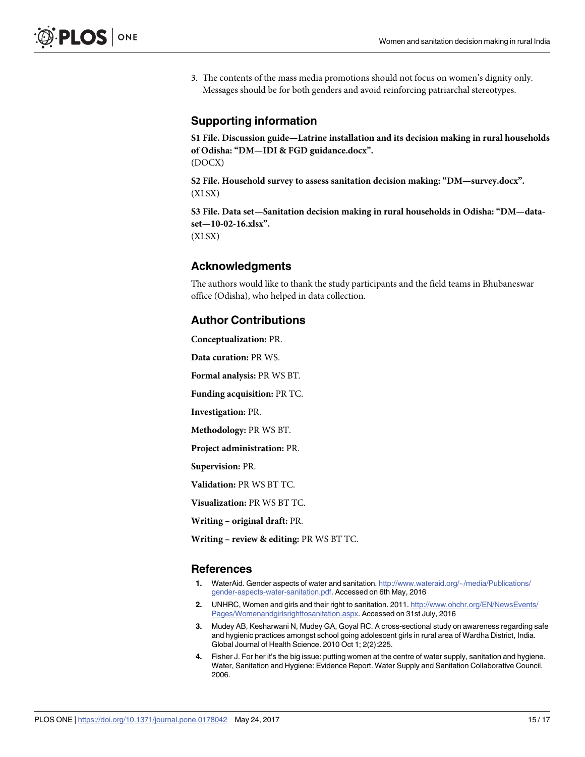<span id="page-14-0"></span>3. The contents of the mass media promotions should not focus on women's dignity only. Messages should be for both genders and avoid reinforcing patriarchal stereotypes.

## **Supporting information**

**S1 [File.](http://www.plosone.org/article/fetchSingleRepresentation.action?uri=info:doi/10.1371/journal.pone.0178042.s001) Discussion guide—Latrine installation and its decision making in rural households of Odisha: "DM—IDI & FGD guidance.docx".** (DOCX)

**S2 [File.](http://www.plosone.org/article/fetchSingleRepresentation.action?uri=info:doi/10.1371/journal.pone.0178042.s002) Household survey to assess sanitation decision making: "DM—survey.docx".** (XLSX)

**S3 [File.](http://www.plosone.org/article/fetchSingleRepresentation.action?uri=info:doi/10.1371/journal.pone.0178042.s003) Data set—Sanitation decision making in rural households in Odisha: "DM—dataset—10-02-16.xlsx".** (XLSX)

## **Acknowledgments**

The authors would like to thank the study participants and the field teams in Bhubaneswar office (Odisha), who helped in data collection.

## **Author Contributions**

**Conceptualization:** PR.

**Data curation:** PR WS.

**Formal analysis:** PR WS BT.

**Funding acquisition:** PR TC.

**Investigation:** PR.

**Methodology:** PR WS BT.

**Project administration:** PR.

**Supervision:** PR.

**Validation:** PR WS BT TC.

**Visualization:** PR WS BT TC.

**Writing – original draft:** PR.

**Writing – review & editing:** PR WS BT TC.

#### **References**

- **[1](#page-1-0).** WaterAid. Gender aspects of water and sanitation. [http://www.wateraid.org/~/media/Publications/](http://www.wateraid.org/~/media/Publications/gender-aspects-water-sanitation.pdf) [gender-aspects-water-sanitation.pdf.](http://www.wateraid.org/~/media/Publications/gender-aspects-water-sanitation.pdf) Accessed on 6th May, 2016
- **[2](#page-1-0).** UNHRC, Women and girls and their right to sanitation. 2011. [http://www.ohchr.org/EN/NewsEvents/](http://www.ohchr.org/EN/NewsEvents/Pages/Womenandgirlsrighttosanitation.aspx) [Pages/Womenandgirlsrighttosanitation.aspx.](http://www.ohchr.org/EN/NewsEvents/Pages/Womenandgirlsrighttosanitation.aspx) Accessed on 31st July, 2016
- **[3](#page-1-0).** Mudey AB, Kesharwani N, Mudey GA, Goyal RC. A cross-sectional study on awareness regarding safe and hygienic practices amongst school going adolescent girls in rural area of Wardha District, India. Global Journal of Health Science. 2010 Oct 1; 2(2):225.
- **[4](#page-1-0).** Fisher J. For her it's the big issue: putting women at the centre of water supply, sanitation and hygiene. Water, Sanitation and Hygiene: Evidence Report. Water Supply and Sanitation Collaborative Council. 2006.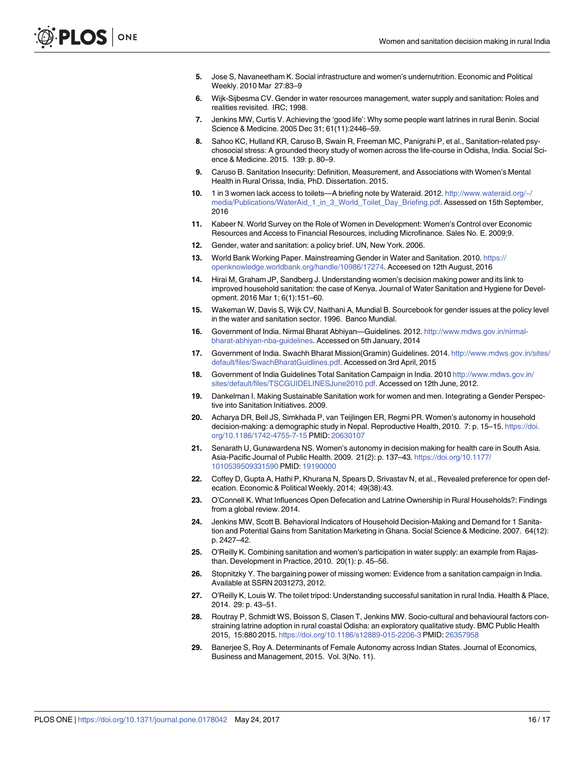- <span id="page-15-0"></span>**[5](#page-1-0).** Jose S, Navaneetham K. Social infrastructure and women's undernutrition. Economic and Political Weekly. 2010 Mar 27:83–9
- **[6](#page-1-0).** Wijk-Sijbesma CV. Gender in water resources management, water supply and sanitation: Roles and realities revisited. IRC; 1998.
- **7.** Jenkins MW, Curtis V. Achieving the 'good life': Why some people want latrines in rural Benin. Social Science & Medicine. 2005 Dec 31; 61(11):2446–59.
- **[8](#page-1-0).** Sahoo KC, Hulland KR, Caruso B, Swain R, Freeman MC, Panigrahi P, et al., Sanitation-related psychosocial stress: A grounded theory study of women across the life-course in Odisha, India. Social Science & Medicine. 2015. 139: p. 80–9.
- **[9](#page-1-0).** Caruso B. Sanitation Insecurity: Definition, Measurement, and Associations with Women's Mental Health in Rural Orissa, India, PhD. Dissertation. 2015.
- **[10](#page-1-0).** 1 in 3 women lack access to toilets—A briefing note by Wateraid. 2012. [http://www.wateraid.org/~/](http://www.wateraid.org/~/media/Publications/WaterAid_1_in_3_World_Toilet_Day_Briefing.pdf) [media/Publications/WaterAid\\_1\\_in\\_3\\_World\\_Toilet\\_Day\\_Briefing.pdf.](http://www.wateraid.org/~/media/Publications/WaterAid_1_in_3_World_Toilet_Day_Briefing.pdf) Assessed on 15th September, 2016
- **[11](#page-1-0).** Kabeer N. World Survey on the Role of Women in Development: Women's Control over Economic Resources and Access to Financial Resources, including Microfinance. Sales No. E. 2009;9.
- **[12](#page-1-0).** Gender, water and sanitation: a policy brief. UN, New York. 2006.
- **[13](#page-1-0).** World Bank Working Paper. Mainstreaming Gender in Water and Sanitation. 2010. [https://](https://openknowledge.worldbank.org/handle/10986/17274) [openknowledge.worldbank.org/handle/10986/17274.](https://openknowledge.worldbank.org/handle/10986/17274) Acceesed on 12th August, 2016
- **[14](#page-1-0).** Hirai M, Graham JP, Sandberg J. Understanding women's decision making power and its link to improved household sanitation: the case of Kenya. Journal of Water Sanitation and Hygiene for Development. 2016 Mar 1; 6(1):151–60.
- **[15](#page-1-0).** Wakeman W, Davis S, Wijk CV, Naithani A, Mundial B. Sourcebook for gender issues at the policy level in the water and sanitation sector. 1996. Banco Mundial.
- **[16](#page-1-0).** Government of India. Nirmal Bharat Abhiyan—Guidelines. 2012. [http://www.mdws.gov.in/nirmal](http://www.mdws.gov.in/nirmal-bharat-abhiyan-nba-guidelines)[bharat-abhiyan-nba-guidelines](http://www.mdws.gov.in/nirmal-bharat-abhiyan-nba-guidelines). Accessed on 5th January, 2014
- **17.** Government of India. Swachh Bharat Mission(Gramin) Guidelines. 2014. [http://www.mdws.gov.in/sites/](http://www.mdws.gov.in/sites/default/files/SwachBharatGuidlines.pdf) [default/files/SwachBharatGuidlines.pdf](http://www.mdws.gov.in/sites/default/files/SwachBharatGuidlines.pdf). Accessed on 3rd April, 2015
- **[18](#page-1-0).** Government of India Guidelines Total Sanitation Campaign in India. 2010 [http://www.mdws.gov.in/](http://www.mdws.gov.in/sites/default/files/TSCGUIDELINESJune2010.pdf) [sites/default/files/TSCGUIDELINESJune2010.pdf](http://www.mdws.gov.in/sites/default/files/TSCGUIDELINESJune2010.pdf). Accessed on 12th June, 2012.
- **[19](#page-1-0).** Dankelman I. Making Sustainable Sanitation work for women and men. Integrating a Gender Perspective into Sanitation Initiatives. 2009.
- **[20](#page-2-0).** Acharya DR, Bell JS, Simkhada P, van Teijlingen ER, Regmi PR. Women's autonomy in household decision-making: a demographic study in Nepal. Reproductive Health, 2010. 7: p. 15–15. [https://doi.](https://doi.org/10.1186/1742-4755-7-15) [org/10.1186/1742-4755-7-15](https://doi.org/10.1186/1742-4755-7-15) PMID: [20630107](http://www.ncbi.nlm.nih.gov/pubmed/20630107)
- **21.** Senarath U, Gunawardena NS. Women's autonomy in decision making for health care in South Asia. Asia-Pacific Journal of Public Health. 2009. 21(2): p. 137–43. [https://doi.org/10.1177/](https://doi.org/10.1177/1010539509331590) [1010539509331590](https://doi.org/10.1177/1010539509331590) PMID: [19190000](http://www.ncbi.nlm.nih.gov/pubmed/19190000)
- **[22](#page-2-0).** Coffey D, Gupta A, Hathi P, Khurana N, Spears D, Srivastav N, et al., Revealed preference for open defecation. Economic & Political Weekly. 2014; 49(38):43.
- **[23](#page-2-0).** O'Connell K. What Influences Open Defecation and Latrine Ownership in Rural Households?: Findings from a global review. 2014.
- **[24](#page-2-0).** Jenkins MW, Scott B. Behavioral Indicators of Household Decision-Making and Demand for 1 Sanitation and Potential Gains from Sanitation Marketing in Ghana. Social Science & Medicine. 2007. 64(12): p. 2427–42.
- **[25](#page-2-0).** O'Reilly K. Combining sanitation and women's participation in water supply: an example from Rajasthan. Development in Practice, 2010. 20(1): p. 45–56.
- **[26](#page-2-0).** Stopnitzky Y. The bargaining power of missing women: Evidence from a sanitation campaign in India. Available at SSRN 2031273, 2012.
- **[27](#page-13-0).** O'Reilly K, Louis W. The toilet tripod: Understanding successful sanitation in rural India. Health & Place, 2014. 29: p. 43–51.
- **[28](#page-2-0).** Routray P, Schmidt WS, Boisson S, Clasen T, Jenkins MW. Socio-cultural and behavioural factors constraining latrine adoption in rural coastal Odisha: an exploratory qualitative study. BMC Public Health 2015, 15:880 2015. <https://doi.org/10.1186/s12889-015-2206-3> PMID: [26357958](http://www.ncbi.nlm.nih.gov/pubmed/26357958)
- **[29](#page-2-0).** Banerjee S, Roy A. Determinants of Female Autonomy across Indian States. Journal of Economics, Business and Management, 2015. Vol. 3(No. 11).